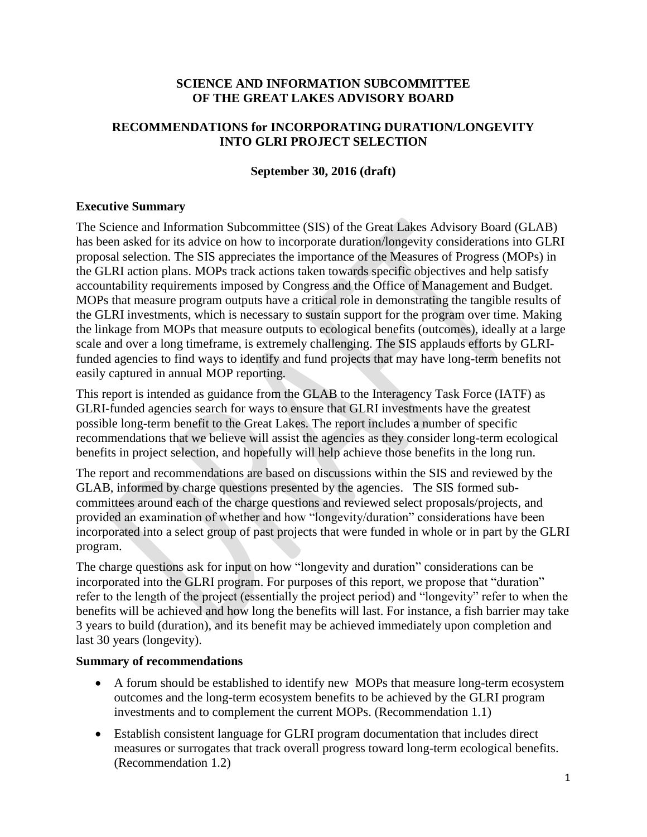## **SCIENCE AND INFORMATION SUBCOMMITTEE OF THE GREAT LAKES ADVISORY BOARD**

# **RECOMMENDATIONS for INCORPORATING DURATION/LONGEVITY INTO GLRI PROJECT SELECTION**

## **September 30, 2016 (draft)**

#### **Executive Summary**

The Science and Information Subcommittee (SIS) of the Great Lakes Advisory Board (GLAB) has been asked for its advice on how to incorporate duration/longevity considerations into GLRI proposal selection. The SIS appreciates the importance of the Measures of Progress (MOPs) in the GLRI action plans. MOPs track actions taken towards specific objectives and help satisfy accountability requirements imposed by Congress and the Office of Management and Budget. MOPs that measure program outputs have a critical role in demonstrating the tangible results of the GLRI investments, which is necessary to sustain support for the program over time. Making the linkage from MOPs that measure outputs to ecological benefits (outcomes), ideally at a large scale and over a long timeframe, is extremely challenging. The SIS applauds efforts by GLRIfunded agencies to find ways to identify and fund projects that may have long-term benefits not easily captured in annual MOP reporting.

This report is intended as guidance from the GLAB to the Interagency Task Force (IATF) as GLRI-funded agencies search for ways to ensure that GLRI investments have the greatest possible long-term benefit to the Great Lakes. The report includes a number of specific recommendations that we believe will assist the agencies as they consider long-term ecological benefits in project selection, and hopefully will help achieve those benefits in the long run.

The report and recommendations are based on discussions within the SIS and reviewed by the GLAB, informed by charge questions presented by the agencies. The SIS formed subcommittees around each of the charge questions and reviewed select proposals/projects, and provided an examination of whether and how "longevity/duration" considerations have been incorporated into a select group of past projects that were funded in whole or in part by the GLRI program.

The charge questions ask for input on how "longevity and duration" considerations can be incorporated into the GLRI program. For purposes of this report, we propose that "duration" refer to the length of the project (essentially the project period) and "longevity" refer to when the benefits will be achieved and how long the benefits will last. For instance, a fish barrier may take 3 years to build (duration), and its benefit may be achieved immediately upon completion and last 30 years (longevity).

#### **Summary of recommendations**

- A forum should be established to identify new MOPs that measure long-term ecosystem outcomes and the long-term ecosystem benefits to be achieved by the GLRI program investments and to complement the current MOPs. (Recommendation 1.1)
- Establish consistent language for GLRI program documentation that includes direct measures or surrogates that track overall progress toward long-term ecological benefits. (Recommendation 1.2)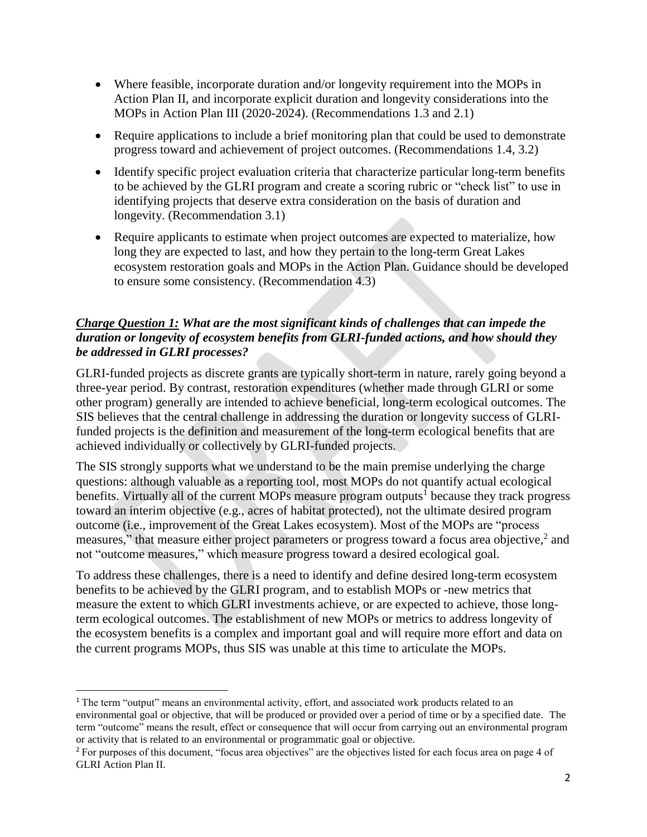- Where feasible, incorporate duration and/or longevity requirement into the MOPs in Action Plan II, and incorporate explicit duration and longevity considerations into the MOPs in Action Plan III (2020-2024). (Recommendations 1.3 and 2.1)
- Require applications to include a brief monitoring plan that could be used to demonstrate progress toward and achievement of project outcomes. (Recommendations 1.4, 3.2)
- Identify specific project evaluation criteria that characterize particular long-term benefits to be achieved by the GLRI program and create a scoring rubric or "check list" to use in identifying projects that deserve extra consideration on the basis of duration and longevity. (Recommendation 3.1)
- Require applicants to estimate when project outcomes are expected to materialize, how long they are expected to last, and how they pertain to the long-term Great Lakes ecosystem restoration goals and MOPs in the Action Plan. Guidance should be developed to ensure some consistency. (Recommendation 4.3)

# *Charge Question 1: What are the most significant kinds of challenges that can impede the duration or longevity of ecosystem benefits from GLRI-funded actions, and how should they be addressed in GLRI processes?*

GLRI-funded projects as discrete grants are typically short-term in nature, rarely going beyond a three-year period. By contrast, restoration expenditures (whether made through GLRI or some other program) generally are intended to achieve beneficial, long-term ecological outcomes. The SIS believes that the central challenge in addressing the duration or longevity success of GLRIfunded projects is the definition and measurement of the long-term ecological benefits that are achieved individually or collectively by GLRI-funded projects.

The SIS strongly supports what we understand to be the main premise underlying the charge questions: although valuable as a reporting tool, most MOPs do not quantify actual ecological benefits. Virtually all of the current MOPs measure program outputs<sup>1</sup> because they track progress toward an interim objective (e.g., acres of habitat protected), not the ultimate desired program outcome (i.e., improvement of the Great Lakes ecosystem). Most of the MOPs are "process measures," that measure either project parameters or progress toward a focus area objective,<sup>2</sup> and not "outcome measures," which measure progress toward a desired ecological goal.

To address these challenges, there is a need to identify and define desired long-term ecosystem benefits to be achieved by the GLRI program, and to establish MOPs or -new metrics that measure the extent to which GLRI investments achieve, or are expected to achieve, those longterm ecological outcomes. The establishment of new MOPs or metrics to address longevity of the ecosystem benefits is a complex and important goal and will require more effort and data on the current programs MOPs, thus SIS was unable at this time to articulate the MOPs.

 $\overline{a}$ 

<sup>&</sup>lt;sup>1</sup> The term "output" means an environmental activity, effort, and associated work products related to an environmental goal or objective, that will be produced or provided over a period of time or by a specified date. The term "outcome" means the result, effect or consequence that will occur from carrying out an environmental program or activity that is related to an environmental or programmatic goal or objective.

<sup>2</sup> For purposes of this document, "focus area objectives" are the objectives listed for each focus area on page 4 of GLRI Action Plan II.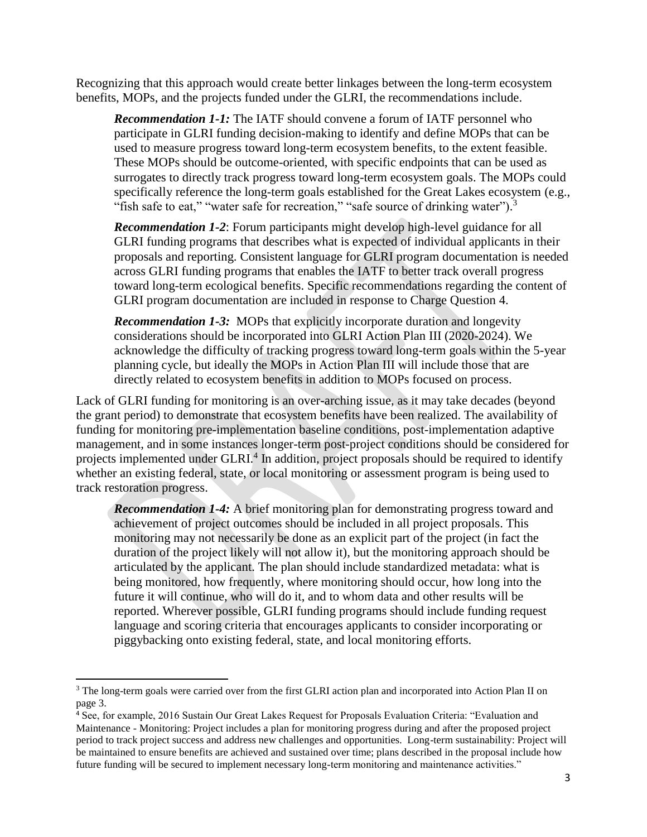Recognizing that this approach would create better linkages between the long-term ecosystem benefits, MOPs, and the projects funded under the GLRI, the recommendations include.

*Recommendation 1-1:* The IATF should convene a forum of IATF personnel who participate in GLRI funding decision-making to identify and define MOPs that can be used to measure progress toward long-term ecosystem benefits, to the extent feasible. These MOPs should be outcome-oriented, with specific endpoints that can be used as surrogates to directly track progress toward long-term ecosystem goals. The MOPs could specifically reference the long-term goals established for the Great Lakes ecosystem (e.g., "fish safe to eat," "water safe for recreation," "safe source of drinking water").<sup>3</sup>

*Recommendation 1-2*: Forum participants might develop high-level guidance for all GLRI funding programs that describes what is expected of individual applicants in their proposals and reporting. Consistent language for GLRI program documentation is needed across GLRI funding programs that enables the IATF to better track overall progress toward long-term ecological benefits. Specific recommendations regarding the content of GLRI program documentation are included in response to Charge Question 4.

*Recommendation 1-3:* MOPs that explicitly incorporate duration and longevity considerations should be incorporated into GLRI Action Plan III (2020-2024). We acknowledge the difficulty of tracking progress toward long-term goals within the 5-year planning cycle, but ideally the MOPs in Action Plan III will include those that are directly related to ecosystem benefits in addition to MOPs focused on process.

Lack of GLRI funding for monitoring is an over-arching issue, as it may take decades (beyond the grant period) to demonstrate that ecosystem benefits have been realized. The availability of funding for monitoring pre-implementation baseline conditions, post-implementation adaptive management, and in some instances longer-term post-project conditions should be considered for projects implemented under GLRI.<sup>4</sup> In addition, project proposals should be required to identify whether an existing federal, state, or local monitoring or assessment program is being used to track restoration progress.

*Recommendation 1-4:* A brief monitoring plan for demonstrating progress toward and achievement of project outcomes should be included in all project proposals. This monitoring may not necessarily be done as an explicit part of the project (in fact the duration of the project likely will not allow it), but the monitoring approach should be articulated by the applicant. The plan should include standardized metadata: what is being monitored, how frequently, where monitoring should occur, how long into the future it will continue, who will do it, and to whom data and other results will be reported. Wherever possible, GLRI funding programs should include funding request language and scoring criteria that encourages applicants to consider incorporating or piggybacking onto existing federal, state, and local monitoring efforts.

l

<sup>&</sup>lt;sup>3</sup> The long-term goals were carried over from the first GLRI action plan and incorporated into Action Plan II on page 3.

<sup>4</sup> See, for example, 2016 Sustain Our Great Lakes Request for Proposals Evaluation Criteria: "Evaluation and Maintenance - Monitoring: Project includes a plan for monitoring progress during and after the proposed project period to track project success and address new challenges and opportunities. Long-term sustainability: Project will be maintained to ensure benefits are achieved and sustained over time; plans described in the proposal include how future funding will be secured to implement necessary long-term monitoring and maintenance activities."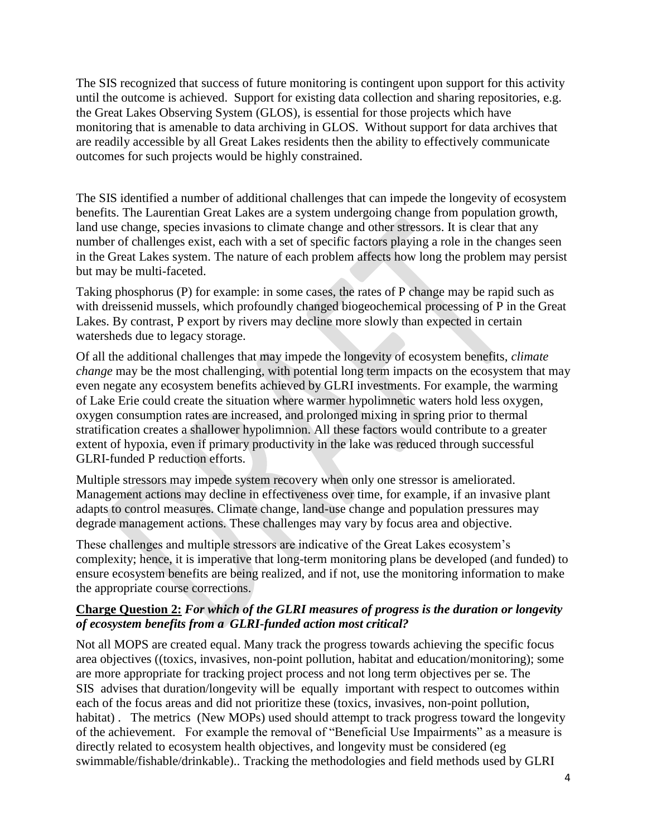The SIS recognized that success of future monitoring is contingent upon support for this activity until the outcome is achieved. Support for existing data collection and sharing repositories, e.g. the Great Lakes Observing System (GLOS), is essential for those projects which have monitoring that is amenable to data archiving in GLOS. Without support for data archives that are readily accessible by all Great Lakes residents then the ability to effectively communicate outcomes for such projects would be highly constrained.

The SIS identified a number of additional challenges that can impede the longevity of ecosystem benefits. The Laurentian Great Lakes are a system undergoing change from population growth, land use change, species invasions to climate change and other stressors. It is clear that any number of challenges exist, each with a set of specific factors playing a role in the changes seen in the Great Lakes system. The nature of each problem affects how long the problem may persist but may be multi-faceted.

Taking phosphorus (P) for example: in some cases, the rates of P change may be rapid such as with dreissenid mussels, which profoundly changed biogeochemical processing of P in the Great Lakes. By contrast, P export by rivers may decline more slowly than expected in certain watersheds due to legacy storage.

Of all the additional challenges that may impede the longevity of ecosystem benefits, *climate change* may be the most challenging, with potential long term impacts on the ecosystem that may even negate any ecosystem benefits achieved by GLRI investments. For example, the warming of Lake Erie could create the situation where warmer hypolimnetic waters hold less oxygen, oxygen consumption rates are increased, and prolonged mixing in spring prior to thermal stratification creates a shallower hypolimnion. All these factors would contribute to a greater extent of hypoxia, even if primary productivity in the lake was reduced through successful GLRI-funded P reduction efforts.

Multiple stressors may impede system recovery when only one stressor is ameliorated. Management actions may decline in effectiveness over time, for example, if an invasive plant adapts to control measures. Climate change, land-use change and population pressures may degrade management actions. These challenges may vary by focus area and objective.

These challenges and multiple stressors are indicative of the Great Lakes ecosystem's complexity; hence, it is imperative that long-term monitoring plans be developed (and funded) to ensure ecosystem benefits are being realized, and if not, use the monitoring information to make the appropriate course corrections.

### **Charge Question 2:** *For which of the GLRI measures of progress is the duration or longevity of ecosystem benefits from a GLRI-funded action most critical?*

Not all MOPS are created equal. Many track the progress towards achieving the specific focus area objectives ((toxics, invasives, non-point pollution, habitat and education/monitoring); some are more appropriate for tracking project process and not long term objectives per se. The SIS advises that duration/longevity will be equally important with respect to outcomes within each of the focus areas and did not prioritize these (toxics, invasives, non-point pollution, habitat). The metrics (New MOPs) used should attempt to track progress toward the longevity of the achievement. For example the removal of "Beneficial Use Impairments" as a measure is directly related to ecosystem health objectives, and longevity must be considered (eg swimmable/fishable/drinkable).. Tracking the methodologies and field methods used by GLRI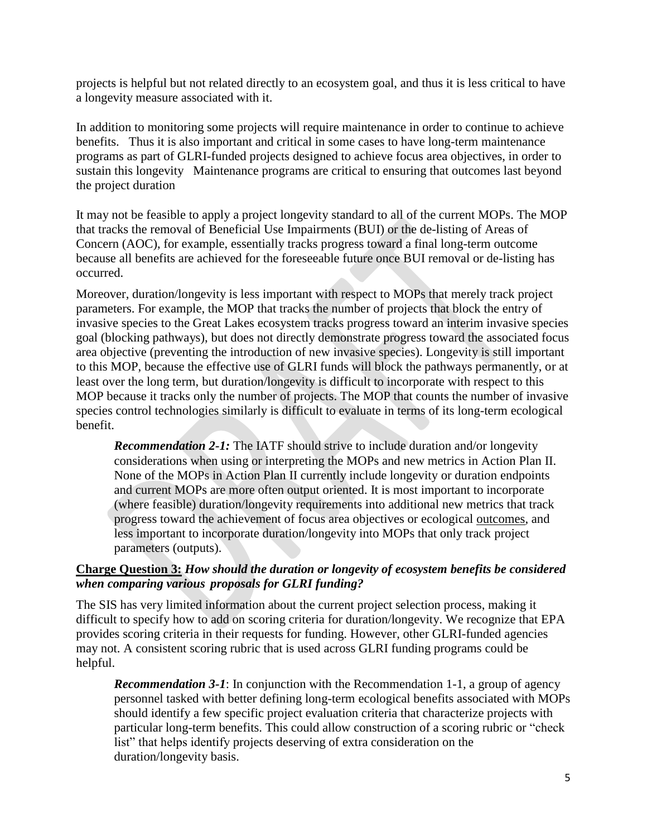projects is helpful but not related directly to an ecosystem goal, and thus it is less critical to have a longevity measure associated with it.

In addition to monitoring some projects will require maintenance in order to continue to achieve benefits. Thus it is also important and critical in some cases to have long-term maintenance programs as part of GLRI-funded projects designed to achieve focus area objectives, in order to sustain this longevity Maintenance programs are critical to ensuring that outcomes last beyond the project duration

It may not be feasible to apply a project longevity standard to all of the current MOPs. The MOP that tracks the removal of Beneficial Use Impairments (BUI) or the de-listing of Areas of Concern (AOC), for example, essentially tracks progress toward a final long-term outcome because all benefits are achieved for the foreseeable future once BUI removal or de-listing has occurred.

Moreover, duration/longevity is less important with respect to MOPs that merely track project parameters. For example, the MOP that tracks the number of projects that block the entry of invasive species to the Great Lakes ecosystem tracks progress toward an interim invasive species goal (blocking pathways), but does not directly demonstrate progress toward the associated focus area objective (preventing the introduction of new invasive species). Longevity is still important to this MOP, because the effective use of GLRI funds will block the pathways permanently, or at least over the long term, but duration/longevity is difficult to incorporate with respect to this MOP because it tracks only the number of projects. The MOP that counts the number of invasive species control technologies similarly is difficult to evaluate in terms of its long-term ecological benefit.

*Recommendation 2-1:* The IATF should strive to include duration and/or longevity considerations when using or interpreting the MOPs and new metrics in Action Plan II. None of the MOPs in Action Plan II currently include longevity or duration endpoints and current MOPs are more often output oriented. It is most important to incorporate (where feasible) duration/longevity requirements into additional new metrics that track progress toward the achievement of focus area objectives or ecological outcomes, and less important to incorporate duration/longevity into MOPs that only track project parameters (outputs).

# **Charge Question 3:** *How should the duration or longevity of ecosystem benefits be considered when comparing various proposals for GLRI funding?*

The SIS has very limited information about the current project selection process, making it difficult to specify how to add on scoring criteria for duration/longevity. We recognize that EPA provides scoring criteria in their requests for funding. However, other GLRI-funded agencies may not. A consistent scoring rubric that is used across GLRI funding programs could be helpful.

*Recommendation 3-1*: In conjunction with the Recommendation 1-1, a group of agency personnel tasked with better defining long-term ecological benefits associated with MOPs should identify a few specific project evaluation criteria that characterize projects with particular long-term benefits. This could allow construction of a scoring rubric or "check list" that helps identify projects deserving of extra consideration on the duration/longevity basis.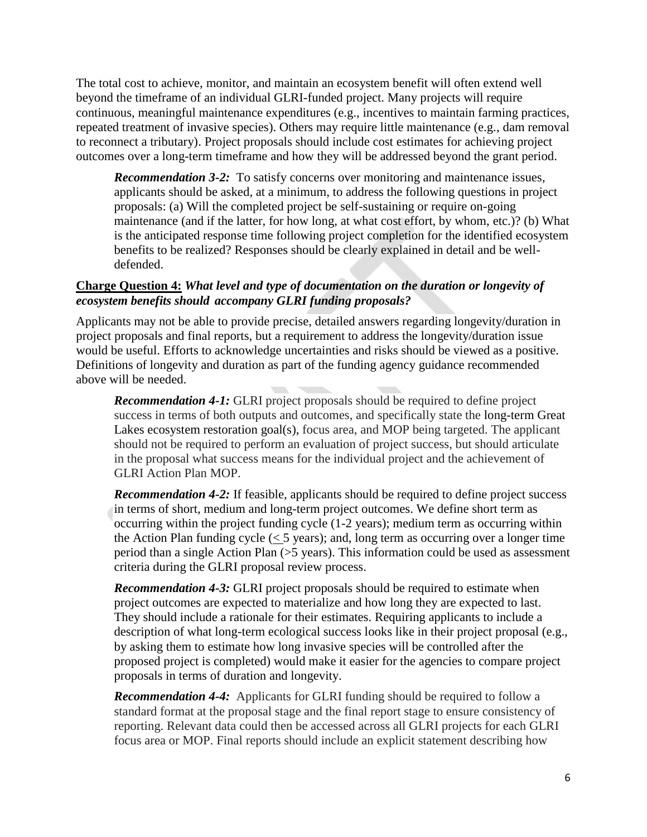The total cost to achieve, monitor, and maintain an ecosystem benefit will often extend well beyond the timeframe of an individual GLRI-funded project. Many projects will require continuous, meaningful maintenance expenditures (e.g., incentives to maintain farming practices, repeated treatment of invasive species). Others may require little maintenance (e.g., dam removal to reconnect a tributary). Project proposals should include cost estimates for achieving project outcomes over a long-term timeframe and how they will be addressed beyond the grant period.

*Recommendation 3-2:* To satisfy concerns over monitoring and maintenance issues, applicants should be asked, at a minimum, to address the following questions in project proposals: (a) Will the completed project be self-sustaining or require on-going maintenance (and if the latter, for how long, at what cost effort, by whom, etc.)? (b) What is the anticipated response time following project completion for the identified ecosystem benefits to be realized? Responses should be clearly explained in detail and be welldefended.

# **Charge Question 4:** *What level and type of documentation on the duration or longevity of ecosystem benefits should accompany GLRI funding proposals?*

Applicants may not be able to provide precise, detailed answers regarding longevity/duration in project proposals and final reports, but a requirement to address the longevity/duration issue would be useful. Efforts to acknowledge uncertainties and risks should be viewed as a positive. Definitions of longevity and duration as part of the funding agency guidance recommended above will be needed.

*Recommendation 4-1:* GLRI project proposals should be required to define project success in terms of both outputs and outcomes, and specifically state the long-term Great Lakes ecosystem restoration goal(s), focus area, and MOP being targeted. The applicant should not be required to perform an evaluation of project success, but should articulate in the proposal what success means for the individual project and the achievement of GLRI Action Plan MOP.

*Recommendation 4-2:* If feasible, applicants should be required to define project success in terms of short, medium and long-term project outcomes. We define short term as occurring within the project funding cycle (1-2 years); medium term as occurring within the Action Plan funding cycle  $(< 5$  years); and, long term as occurring over a longer time period than a single Action Plan (>5 years). This information could be used as assessment criteria during the GLRI proposal review process.

*Recommendation 4-3:* GLRI project proposals should be required to estimate when project outcomes are expected to materialize and how long they are expected to last. They should include a rationale for their estimates. Requiring applicants to include a description of what long-term ecological success looks like in their project proposal (e.g., by asking them to estimate how long invasive species will be controlled after the proposed project is completed) would make it easier for the agencies to compare project proposals in terms of duration and longevity.

*Recommendation 4-4:* Applicants for GLRI funding should be required to follow a standard format at the proposal stage and the final report stage to ensure consistency of reporting. Relevant data could then be accessed across all GLRI projects for each GLRI focus area or MOP. Final reports should include an explicit statement describing how